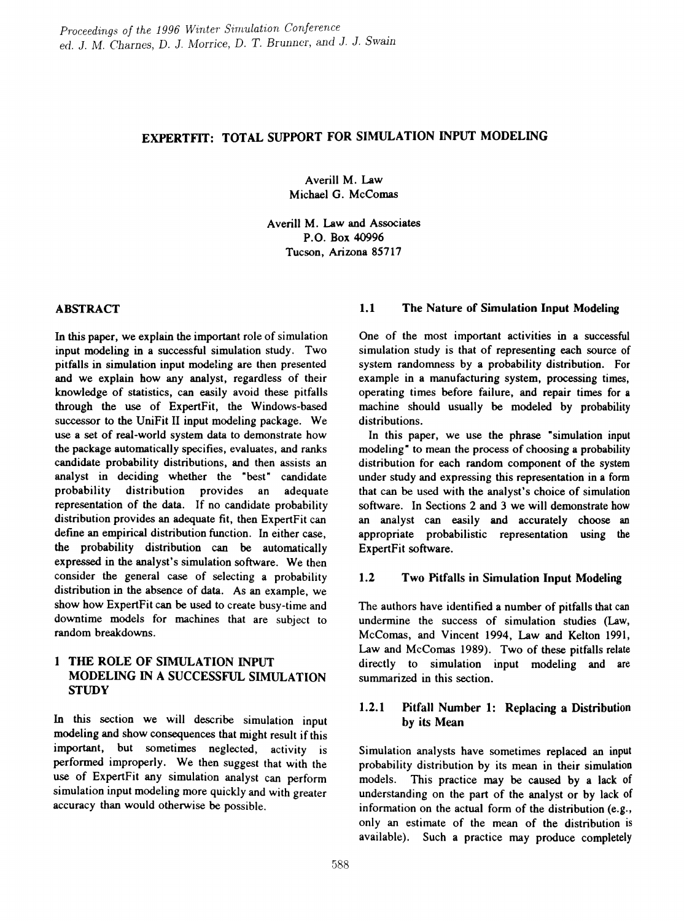# EXPERTFIT: TOTAL SUPPORT FOR SIMULATION INPUT MODELING

Averill M. Law Michael G. McComas

Averill M. Law and Associates P.O. Box 40996 Tucson, Arizona 85717

In this paper, we explain the important role of simulation input modeling in a successful simulation study. Two pitfalls in simulation input modeling are then presented and we explain bow any analyst, regardless of their knowledge of statistics, can easily avoid these pitfalls through the use of ExpertFit, the Windows-based successor to the UniFit II input modeling package. We use a set of real-world system data to demonstrate how the package automatically specifies, evaluates, and ranks candidate probability distributions, and then assists an analyst in deciding whether the "best" candidate probability distribution provides an adequate representation of the data. If no candidate probability distribution provides an adequate fit, then ExpertFit can defme an empirical distribution function. In either case, the probability distribution can be automatically expressed in the analyst's simulation software. We then consider the general case of selecting a probability distribution in the absence of data. As an example, we show how ExpertFit can be used to create busy-time and downtime models for machines that are subject to random breakdowns.

# 1 THE ROLE OF SIMULATION INPUT MODELING IN A SUCCESSFUL SIMULATION **STUDY**

In this section we will describe simulation input modeling and show consequences that might result if this important, but sometimes neglected, activity is performed improperly. We then suggest that with the use of ExpertFit any simulation analyst can perform simulation input modeling more quickly and with greater accuracy than would otherwise be possible.

## ABSTRACT 1.1 The Nature of Simulation Input Modeling

One of the most important activities in a successful simulation study is that of representing each source of system randomness by a probability distribution. For example in a manufacturing system, processing times, operating times before failure, and repair times for a machine should usually be modeled by probability distributions.

In this paper, we use the phrase "simulation input modeling" to mean the process of choosing a probability distribution for each random component of the system under study and expressing this representation in a form that can be used with the analyst's choice of simulation software. In Sections 2 and 3 we will demonstrate how an analyst can easily and accurately choose an appropriate probabilistic representation using the ExpertFit software.

## 1.2 Two Pitfalls in Simulation Input Modeling

The authors have identified a number of pitfalls that can undermine the success of simulation studies (Law, McComas, and Vincent 1994, Law and Kelton 1991, Law and McComas 1989). Two of these pitfalls relate directly to simulation input modeling and are summarized in this section.

# 1.2.1 Pitfall Number 1: Replacing a Distribution by its Mean

Simulation analysts have sometimes replaced an input probability distribution by its mean in their simulation models. This practice may be caused by a lack of understanding on the part of the analyst or by lack of information on the actual form of the distribution (e.g., only an estimate of the mean of the distribution is available). Such a practice may produce completely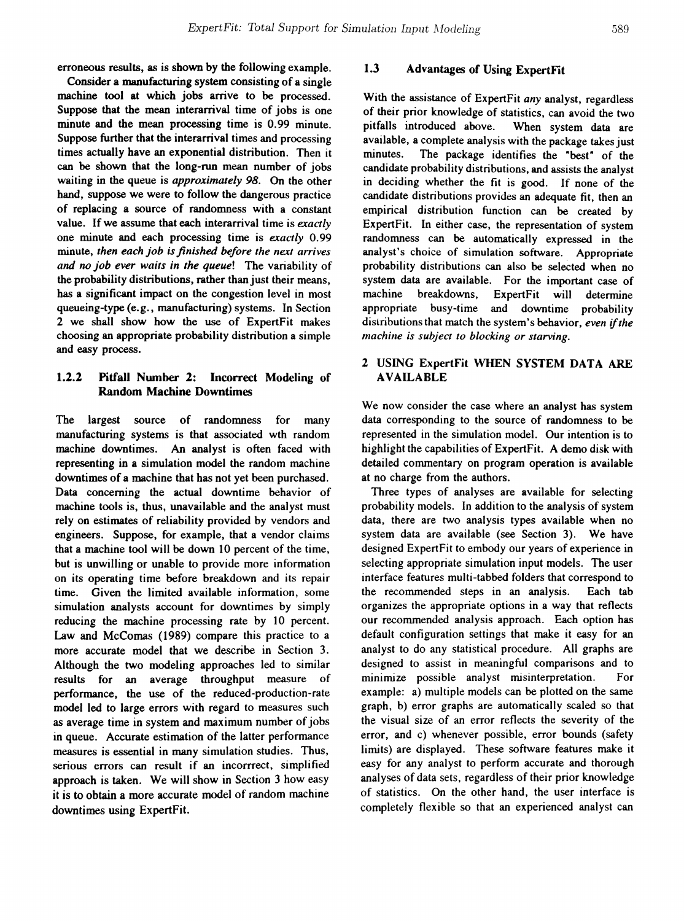erroneous results, as is shown by the following example.

Consider a manufacturing system consisting of a single machine tool at which jobs arrive to be processed. Suppose that the mean interarrival time of jobs is one minute and the mean processing time is 0.99 minute. Suppose further that the interarrival times and processing times actually have an exponential distribution. Then it can be shown that the long-ron mean number of jobs waiting in the queue is *approximately* 98. On the other hand, suppose we were to follow the dangerous practice of replacing a source of randomness with a constant value. If we assume that each interarrival time is *exactly* one minute and each processing time is *exactly* 0.99 minute, *then each job isfinished before the next arrives and no job ever waits in the queue!* The variability of the probability distributions, rather than just their means, has a significant impact on the congestion level in most queueing-type (e.g., manufacturing) systems. In Section 2 we shall show how the use of ExpertFit makes choosing an appropriate probability distribution a simple and easy process.

# 1.2.2 Pitfall Number 2: Incorrect Modeling of Random Machine Downtimes

The largest source of randomness for many manufacturing systems is that associated wth random machine downtimes. An analyst is often faced with representing in a simulation model the random machine downtimes of a machine that has not yet been purchased. Data concerning the actual downtime behavior of machine tools is, thus, unavailable and the analyst must rely on estimates of reliability provided by vendors and engineers. Suppose, for example, that a vendor claims that a machine tool will be down 10 percent of the time, but is unwilling or unable to provide more information on its operating time before breakdown and its repair time. Given the limited available information, some simulation analysts account for downtimes by simply reducing the machine processing rate by 10 percent. Law and McComas (1989) compare this practice to a more accurate model that we describe in Section 3. Although the two modeling approaches led to similar results for an average throughput measure of performance, the use of the reduced-production-rate model led to large errors with regard to measures such as average time in system and maximum number of jobs in queue. Accurate estimation of the latter performance measures is essential in many simulation studies. Thus, serious errors can result if an incorrrect, simplified approach is taken. We will show in Section 3 how easy it is to obtain a more accurate model of random machine downtimes using ExpertFit.

# 1.3 Advantages of Using ExpertFit

With the assistance of ExpertFit *any* analyst, regardless of their prior knowledge of statistics, can avoid the two pitfalls introduced above. When system data are available, a complete analysis with the package takes just minutes. The package identifies the "best" of the candidate probability distributions, and assists the analyst in deciding whether the fit is good. If none of the candidate distributions provides an adequate fit, then an empirical distribution function can be created by ExpertFit. In either case, the representation of system randomness can be automatically expressed in the analyst's choice of simulation software. Appropriate probability distributions can also be selected when no system data are available. For the important case of machine breakdowns, ExpertFit will determine appropriate busy-time and downtime probability distributions that match the system's behavior, *even* if*the machine is subject to blocking or starving.*

# 2 USING ExpertFit WHEN SYSTEM DATA ARE AVAILABLE

We now consider the case where an analyst has system data corresponding to the source of randomness to be represented in the simulation model. Our intention is to highlight the capabilities of ExpertFit. A demo disk with detailed commentary on program operation is available at no charge from the authors.

Three types of analyses are available for selecting probability models. In addition to the analysis of system data, there are two analysis types available when no system data are available (see Section 3). We have designed ExpertFit to embody our years of experience in selecting appropriate simulation input models. The user interface features multi-tabbed folders that correspond to the recommended steps in an analysis. Each tab organizes the appropriate options in a way that reflects our recommended analysis approach. Each option has default configuration settings that make it easy for an analyst to do any statistical procedure. All graphs are designed to assist in meaningful comparisons and to minimize possible analyst misinterpretation. For example: a) multiple models can be plotted on the same graph, b) error graphs are automatically scaled so that the visual size of an error reflects the severity of the error, and c) whenever possible, error bounds (safety limits) are displayed. These software features make it easy for any analyst to perform accurate and thorough analyses of data sets, regardless of their prior knowledge of statistics. On the other hand, the user interface is completely flexible so that an experienced analyst can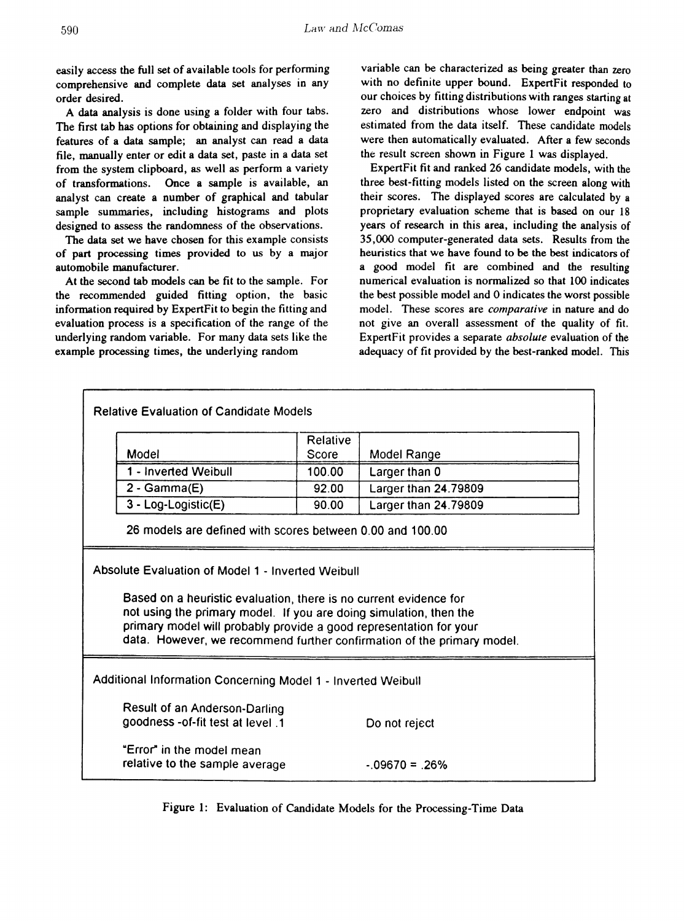easily access the full set of available tools for performing comprehensive and complete data set analyses in any order desired.

A data analysis is done using a folder with four tabs. The first tab has options for obtaining and displaying the features of a data sample; an analyst can read a data file, manually enter or edit a data set, paste in a data set from the system clipboard, as well as perform a variety of transformations. Once a sample is available, an analyst can create a number of graphical and tabular sample summaries, including histograms and plots designed to assess the randomness of the observations.

The data set we have chosen for this example consists of part processing times provided to us by a major automobile manufacturer.

At the second tab models can be fit to the sample. For the recommended guided fitting option, the basic information required by ExpertFit to begin the fitting and evaluation process is a specification of the range of the underlying random variable. For many data sets like the example processing times, the underlying random

variable can be characterized as being greater than zero with no definite upper bound. ExpertFit responded to our choices by fitting distributions with ranges starting at zero and distributions whose lower endpoint was estimated from the data itself. These candidate models were then automatically evaluated. After a few seconds the result screen shown in Figure 1 was displayed.

ExpertFit fit and ranked 26 candidate models, with the three best-fitting models listed on the screen along with their scores. The displayed scores are calculated by a proprietary evaluation scheme that is based on our 18 years of research in this area, including the analysis of 35,000 computer-generated data sets. Results from the heuristics that we have found to be the best indicators of a good model fit are combined and the resulting numerical evaluation is normalized so that 100 indicates the best possible model and 0 indicates the worst possible model. These scores are *comparative* in nature and do not give an overall assessment of the quality of fit. ExpertFit provides a separate *absolute* evaluation of the adequacy of fit provided by the best-ranked model. This

| <b>Relative Evaluation of Candidate Models</b>                                                                                                                                                                                                                                                                                               |                                                                   |          |                      |  |  |
|----------------------------------------------------------------------------------------------------------------------------------------------------------------------------------------------------------------------------------------------------------------------------------------------------------------------------------------------|-------------------------------------------------------------------|----------|----------------------|--|--|
|                                                                                                                                                                                                                                                                                                                                              |                                                                   | Relative |                      |  |  |
|                                                                                                                                                                                                                                                                                                                                              | Model                                                             | Score    | Model Range          |  |  |
|                                                                                                                                                                                                                                                                                                                                              | 1 - Inverted Weibull                                              | 100.00   | Larger than 0        |  |  |
|                                                                                                                                                                                                                                                                                                                                              | $2 - \text{Gamma}(E)$                                             | 92.00    | Larger than 24.79809 |  |  |
|                                                                                                                                                                                                                                                                                                                                              | 3 - Log-Logistic(E)                                               | 90.00    | Larger than 24.79809 |  |  |
|                                                                                                                                                                                                                                                                                                                                              | 26 models are defined with scores between 0.00 and 100.00         |          |                      |  |  |
| Absolute Evaluation of Model 1 - Inverted Weibull<br>Based on a heuristic evaluation, there is no current evidence for<br>not using the primary model. If you are doing simulation, then the<br>primary model will probably provide a good representation for your<br>data. However, we recommend further confirmation of the primary model. |                                                                   |          |                      |  |  |
| Additional Information Concerning Model 1 - Inverted Weibull                                                                                                                                                                                                                                                                                 |                                                                   |          |                      |  |  |
|                                                                                                                                                                                                                                                                                                                                              | Result of an Anderson-Darling<br>goodness-of-fit test at level .1 |          | Do not reject        |  |  |
|                                                                                                                                                                                                                                                                                                                                              | "Error" in the model mean<br>relative to the sample average       |          | $-09670 = 26%$       |  |  |

Figure 1: Evaluation of Candidate Models for the Processing-Time Data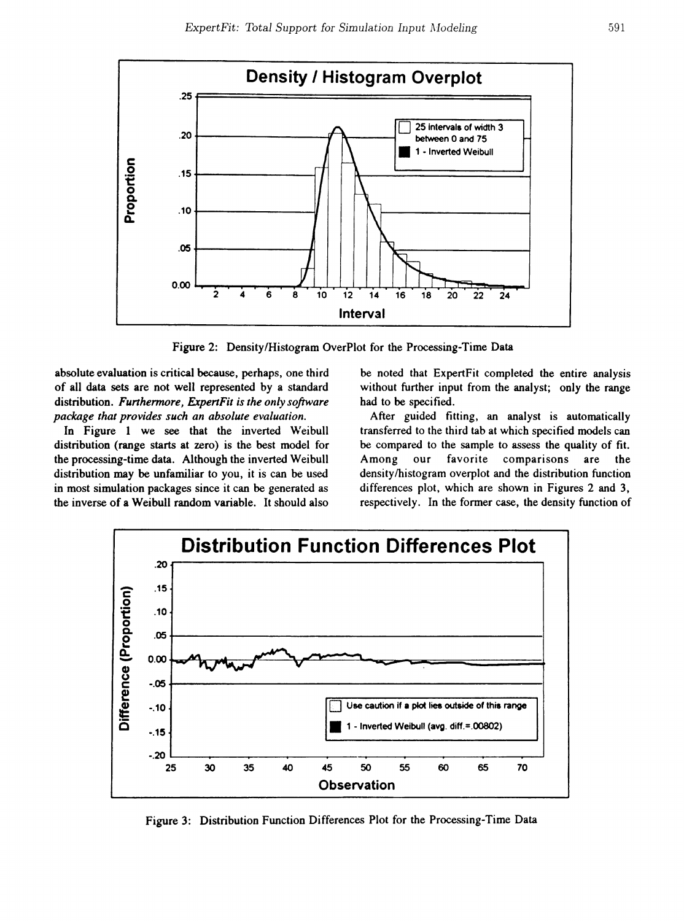

Figure 2: Density/Histogram OverPlot for the Processing-Time Data

absolute evaluation is critical because, perhaps, one third of all data sets are not well represented by a standard distribution. *Furthermore, ExpertFit is the only software package that provides such an absolute evaluation.*

In Figure 1 we see that the inverted Weibull distribution (range starts at zero) is the best model for the processing-time data. Although the inverted Weibull distribution may be unfamiliar to you, it is can be used in most simulation packages since it can be generated as the inverse of a Weibull random variable. It should also

be noted that ExpertFit completed the entire analysis without further input from the analyst; only the range had to be specified.

After guided fitting, an analyst is automatically transferred to the third tab at which specitied models can be compared to the sample to assess the quality of fit. Among our favorite comparisons are the density/histogram overplot and the distribution function differences plot, which are shown in Figures 2 and 3, respectively. In the former case, the density function of



Figure 3: Distribution Function Differences Plot for the Processing-Time Data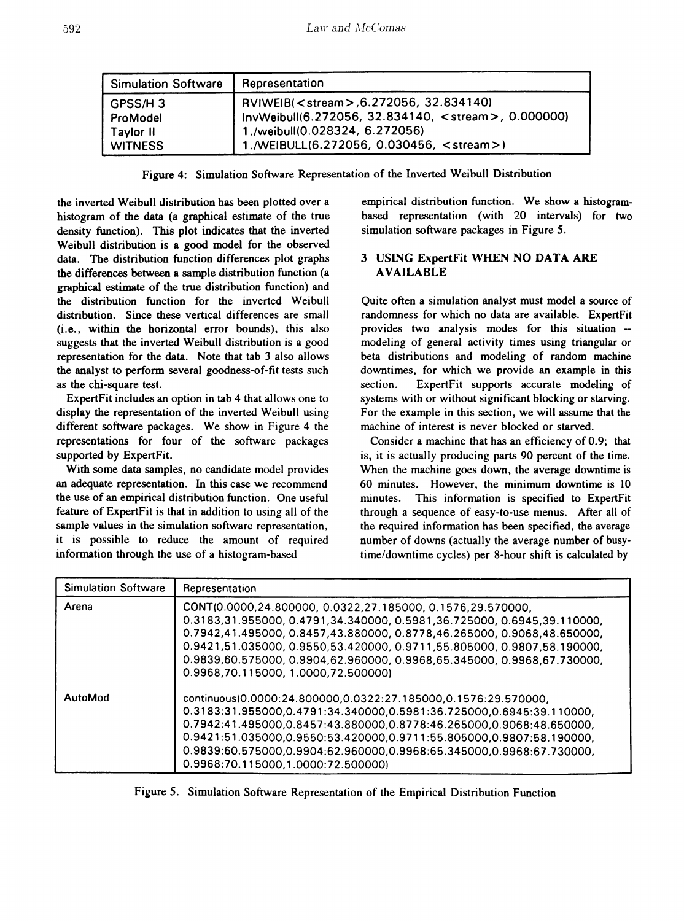| <b>Simulation Software</b> | Representation                                               |
|----------------------------|--------------------------------------------------------------|
| GPSS/H3                    | RVIWEIB( <stream>,6.272056, 32.834140)</stream>              |
| ProModel                   | InvWeibull(6.272056, 32.834140, <stream>, 0.000000)</stream> |
| Taylor II                  | 1./weibull(0.028324, 6.272056)                               |
| <b>WITNESS</b>             | 1./WEIBULL(6.272056, 0.030456, <stream>)</stream>            |

Figure 4: Simulation Software Representation of the Inverted Weibull Distribution

the inverted Weibull distribution has been plotted over a histogram of the data (a graphical estimate of the true density function). This plot indicates that the inverted Weibull distribution is a good model for the observed data. The distribution function differences plot graphs the differences between a sample distribution function (a graphical estimate of the true distribution function) and the distribution function for the inverted Weibull distribution. Since these vertical differences are small (i.e., within the horizontal error bounds), this also suggests that the inverted Weibull distribution is a good representation for the data. Note that tab 3 also allows the analyst to perform several goodness-of-fit tests such as the chi-square test.

ExpertFit includes an option in tab 4 that allows one to display the representation of the inverted Weibull using different software packages. We show in Figure 4 the representations for four of the software packages supported by ExpertFit.

With some data samples, no candidate model provides an adequate representation. In this case we recommend the use of an empirical distribution function. One useful feature of ExpertFit is that in addition to using all of the sample values in the simulation software representation, it is possible to reduce the amount of required information through the use of a histogram-based

empirical distribution function. We show a histogrambased representation (with 20 intervals) for two simulation software packages in Figure *S.*

# 3 USING ExpertFit WHEN NO DATA ARE AVAILABLE

Quite often a simulation analyst must model a source of randomness for which no data are available. ExpertFit provides two analysis modes for this situation - modeling of general activity times using triangular or beta distributions and modeling of random machine downtimes, for which we provide an example in this section. ExpertFit supports accurate modeling of systems with or without significant blocking or starving. For the example in this section, we will assume that the machine of interest is never blocked or starved.

Consider a machine that has an efficiency of 0.9; that is, it is actually producing parts 90 percent of the time. When the machine goes down, the average downtime is 60 minutes. However, the minimum downtime is 10 minutes. This information is specified to ExpertFit through a sequence of easy-to-use menus. After all of the required information has been specified, the average number of downs (actually the average number of busytime/downtime cycles) per 8-hour shift is calculated by

| <b>Simulation Software</b> | Representation                                                                                                                                                                                                                                                                                                                                                                                               |
|----------------------------|--------------------------------------------------------------------------------------------------------------------------------------------------------------------------------------------------------------------------------------------------------------------------------------------------------------------------------------------------------------------------------------------------------------|
| Arena                      | CONT(0.0000,24.800000, 0.0322,27.185000, 0.1576,29.570000,<br>0.3183,31.955000, 0.4791,34.340000, 0.5981,36.725000, 0.6945,39.110000,<br>0.7942,41.495000, 0.8457,43.880000, 0.8778,46.265000, 0.9068,48.650000,<br>0.9421,51.035000, 0.9550,53.420000, 0.9711,55.805000, 0.9807,58.190000,<br>0.9839,60.575000, 0.9904,62.960000, 0.9968,65.345000, 0.9968,67.730000,<br>0.9968,70.115000.1.0000.72.500000) |
| AutoMod                    | continuous(0.0000:24.800000.0.0322:27.185000.0.1576:29.570000.<br>0.3183:31.955000,0.4791:34.340000,0.5981:36.725000,0.6945:39.110000,<br>0.7942:41.495000,0.8457:43.880000,0.8778:46.265000,0.9068:48.650000,<br>$0.9421:51.035000.0.9550:53.420000.0.9711:55.805000.0.9807:58.190000.$<br>0.9839:60.575000,0.9904:62.960000,0.9968:65.345000,0.9968:67.730000,<br>0.9968:70.115000.1.0000:72.500000)       |

Figure 5. Simulation Software Representation of the Empirical Distribution Function